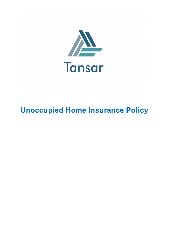

# Unoccupied Home Insurance Policy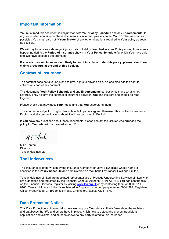# Important Information

You must read this document in conjunction with Your Policy Schedule and any Endorsements. If any information contained in these documents is incorrect, please contact Your Broker as soon as possible . You must also notify Your Broker of any other alterations required to Your policy as soon as possible.

We will pay for any loss, damage, injury, costs or liability described in Your Policy arising from events happening during the Period of Insurance shown in Your Policy Schedule for which You have paid and We have accepted the premium.

If You are involved in an incident likely to result in a claim under this policy, please refer to our claims procedure at the end of this booklet.

# Contract of Insurance

The contract does not give, or intend to give, rights to anyone else. No-one else has the right to enforce any part of this contract.

This document, Your Policy Schedule and any Endorsements set out what is and what is not covered. They all form the contract of insurance between You and Insurers and should be read together.

Please check that they meet Your needs and that You understand them.

This contract is subject to English law unless both parties agree otherwise. This contract is written in English and all communications about it will be conducted in English.

If You have any questions about these documents, please contact the Broker who arranged the policy for You, who will be pleased to help You.

 $M$  Vinh

Mike Fenton Director Tansar Holdings Ltd

# The Underwriters

This insurance is underwritten by the Insurance Company or Lloyd's syndicate whose name is specified in the Policy Schedule and administered on their behalf by Tansar Holdings Limited.

Tansar Holdings Limited are appointed representatives of Prestige Underwriting Services Limited who are authorised and regulated by the Financial Conduct Authority. FRN 730782. You can confirm this on the Financial Services Register by visiting www.fca.org.uk or by contacting them on 0800 111 6768. Tansar Holdings Limited is registered in England under company number 09841384. Registered Office: West House, 34 Broomfield Road, Chelmsford, Essex, CM1 1SW.

# Data Protection Notice

This Data Protection Notice explains how We may use Your details. It tells You about the registers and databases that We and others have in place, which help to detect and prevent fraudulent applications and claims, and must be shown to any party related to this insurance.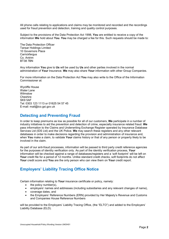All phone calls relating to applications and claims may be monitored and recorded and the recordings used for fraud prevention and detection, training and quality control purposes.

Subject to the provisions of the Data Protection Act 1998, You are entitled to receive a copy of the information We hold about You. You may be charged a fee for this. Such requests should be made to:

The Data Protection Officer Tansar Holdings Limited 10 Governors Place **Carrickfergus** Co. Antrim BT38 7BN

Any information You give to Us will be used by Us and other parties involved in the normal administration of Your Insurance. We may also share Your information with other Group Companies.

For more information on the Data Protection Act You may also write to the Office of the Information Commissioner at:

Wycliffe House Water Lane Wilmslow **Cheshire** SK9 5AF Tel: 0303 123 1113 or 01625 54 57 45 E-mail: mail@ico.gsi.gov.uk

### Detecting and Preventing Fraud

In order to keep premiums as low as possible for all of our customers. We participate in a number of industry initiatives to aid the prevention and detection of crime, especially insurance related fraud. We pass information to the Claims and Underwriting Exchange Register operated by Insurance Database Services Ltd (IDS Ltd) and the UK Police. We may search these registers and any other relevant databases in order to make decisions regarding the provision and administration of insurance and, when You make a claim, to validate Your claims history or that of any person or property likely to be involved in the claim.

As part of our anti-fraud processes, information will be passed to third party credit reference agencies for the purposes of identity verification only. As part of the identity verification process, Your information will be checked against a range of databases/registers and a 'soft footprint' will be left on Your credit file for a period of 12 months. Unlike standard credit checks, soft footprints do not affect Your credit score and You are the only person who can view them on Your credit report.

# Employers' Liability Tracing Office Notice

Certain information relating to Your insurance certificate or policy, namely:

- $\bullet$  the policy number(s),
- employers' names and addresses (including subsidiaries and any relevant changes of name),
- coverage dates, and
- the Employers' Reference Numbers (ERN) provided by Her Majesty's Revenue and Customs and Companies House Reference Numbers

will be provided to the Employers' Liability Tracing Office, (the "ELTO") and added to the Employers' Liability Database (ELD).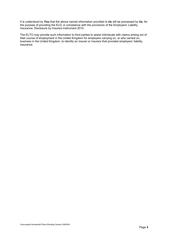It is understood by You that the above named information provided to Us will be processed by Us, for the purpose of providing the ELD, in compliance with the provisions of the Employers' Liability Insurance: Disclosure by Insurers Instrument 2010.

The ELTO may provide such information to third parties to assist individuals with claims arising out of their course of employment in the United Kingdom for employers carrying on, or who carried on, business in the United Kingdom, to identify an insurer or insurers that provided employers' liability insurance.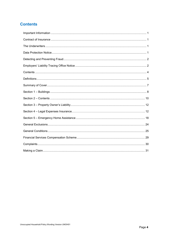# **Contents**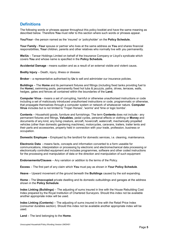# **Definitions**

The following words or phrases appear throughout this policy booklet and have the same meaning as described below. Therefore You must refer to this section where such words or phrases appear.

You/Your - the person named as the 'insured' or 'policyholder' on the Policy Schedule,

Your Family -Your spouse or partner who lives at the same address as You and shares financial responsibilities, Your children, parents and other relatives who normally live with you permanently.

We/Us – Tansar Holdings Limited on behalf of the Insurance Company or Lloyd's syndicate which covers You and whose name is specified in the Policy Schedule.

Accidental Damage - means sudden and as a result of an external visible and violent cause.

Bodily Injury – Death, injury, illness or disease.

Broker – a representative authorised by Us to sell and administer our insurance policies.

Buildings – The Home and its permanent fixtures and fittings (including fixed tanks providing fuel to the Home), swimming pools, permanently fixed hot tubs & jacuzzis, paths, drives, terraces, walls, hedges, gates and fences all contained within the boundaries of the Land.

Computer Virus - means a set of corrupting, harmful or otherwise unauthorised instructions or code including a set of maliciously introduced unauthorised instructions or code, programmatic or otherwise, that propagate themselves through a computer system or network of whatsoever nature. Computer Virus includes but is not limited to 'Trojan Horses', 'worms' and 'time or logic bombs'.

Contents – Household goods, furniture and furnishings. The term Contents does not include:- any permanent fixtures and fittings, Valuables, pedal cycles, personal effects or clothing or Money and documents of any kind, any living creature, aircraft, hovercraft, watercraft, mechanically propelled vehicles (other than domestic gardening machines), motorcycles, caravans, trailers, trailer tents and their parts and accessories, property held in connection with your trade, profession, business or occupation.

Domestic Employee – Employed by the landlord for domestic services, i.e. cleaning, maintenance.

Electronic Data - means facts, concepts and information converted to a form useable for communications, interpretation or processing by electronic and electromechanical data processing or electronically controlled equipment and includes programmes, software and other coded instructions for the processing and manipulation of data or the direction and manipulation of such equipment

Endorsements/Clauses – Any variation or addition to the terms of the Policy.

Excess – The first part of any claim which You must pay as shown in Your Policy Schedule.

Heave – Upward movement of the ground beneath the Buildings caused by the soil expanding.

Home – The Unoccupied private dwelling and its domestic outbuildings and garages at the address shown in the Policy Schedule.

Index Linking (Buildings) – The adjusting of sums insured in line with the House Rebuilding Cost Index prepared by the Royal Institution of Chartered Surveyors. Should this index not be available another appropriate index will be used.

Index Linking (Contents) – The adjusting of sums insured in line with the Retail Price Index (consumer durables section). Should this index not be available another appropriate index will be used.

Land – The land belonging to the Home.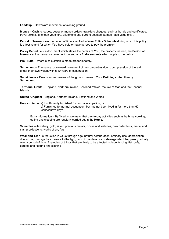Landslip – Downward movement of sloping ground.

Money – Cash, cheques, postal or money orders, travellers cheques, savings bonds and certificates, travel tickets, luncheon vouchers, gift tokens and current postage stamps (face value only).

Period of Insurance – the period of time specified in Your Policy Schedule during which this policy is effective and for which You have paid or have agreed to pay the premium.

Policy Schedule – a document which states the details of You, the property insured, the Period of Insurance, the insurance cover in force and any Endorsements which apply to the policy.

Pro - Rata – where a calculation is made proportionately.

Settlement – The natural downward movement of new properties due to compression of the soil under their own weight within 10 years of construction.

Subsidence – Downward movement of the ground beneath Your Buildings other than by Settlement.

Territorial Limits – England, Northern Ireland, Scotland, Wales, the Isle of Man and the Channel Islands.

United Kingdom - England, Northern Ireland, Scotland and Wales

Unoccupied – a) Insufficiently furnished for normal occupation, or b) Furnished for normal occupation, but has not been lived in for more than 60 consecutive days.

Extra Information – By 'lived in' we mean that day-to-day activities such as bathing, cooking, eating and sleeping are regularly carried out in the Home.

Valuables – Jewellery, gold, silver, precious metals, clocks and watches, coin collections, medal and stamp collections, works of art, furs.

Wear and Tear - a reduction in value through age, natural deterioration, ordinary use, depreciation due to use, damage by exposure to the light, lack of maintenance or damage which happens gradually over a period of time. Examples of things that are likely to be affected include fencing, flat roofs, carpets and flooring and clothing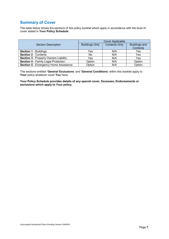# Summary of Cover

The table below shows the sections of this policy booklet which apply in accordance with the level of cover stated in Your Policy Schedule:

|                                              | <b>Cover Applicable</b> |                      |                      |
|----------------------------------------------|-------------------------|----------------------|----------------------|
| <b>Section Description</b>                   | <b>Buildings Only</b>   | <b>Contents Only</b> | <b>Buildings and</b> |
|                                              |                         |                      | Contents             |
| <b>Section 1 - Buildings</b>                 | Yes                     | N/A                  | Yes                  |
| <b>Section 2 - Contents</b>                  | No                      | N/A                  | Yes                  |
| <b>Section 3 - Property Owners Liability</b> | Yes                     | N/A                  | Yes                  |
| <b>Section 4 - Family Legal Protection</b>   | Option                  | N/A                  | Option               |
| <b>Section 5 - Emergency Home Assistance</b> | Option                  | N/A                  | Option               |

The sections entitled 'General Exclusions' and 'General Conditions' within this booklet apply to Your policy whatever cover You have.

Your Policy Schedule provides details of any special cover, Excesses, Endorsements or exclusions which apply to Your policy.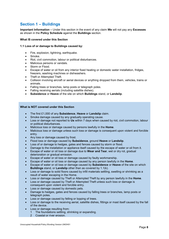# Section 1 – Buildings

Important Information – Under this section in the event of any claim We will not pay any Excesses as shown in the Policy Schedule against the Buildings section.

#### What IS covered under this Section

#### 1.1 Loss of or damage to Buildings caused by:

- Fire, explosion, lightning, earthquake.
- Smoke.
- Riot, civil commotion, labour or political disturbances.
- Malicious persons or vandals.
- Storm or Flood.
- Escape of water or oil from any interior fixed heating or domestic water installation, fridges, freezers, washing machines or dishwashers.
- Theft or Attempted Theft.
- Collision involving aircraft or aerial devices or anything dropped from them, vehicles, trains or animals.
- Falling trees or branches, lamp posts or telegraph poles.
- Falling receiving aerials (including satellite dishes).
- Subsidence or Heave of the site on which Buildings stand, or Landslip.

#### What is NOT covered under this Section

- The first £1,000 of any **Subsidence**, Heave or Landslip claim.
- Smoke damage caused by any gradually operating cause.
- Loss or damage not reported to Us within 7 days when caused by riot, civil commotion, labour or political disturbances.
- Malicious loss or damage caused by persons lawfully in the Home.
- Malicious loss or damage unless such loss or damage is consequent upon violent and forcible entry.
- Any loss or damage caused by frost.
- Flood loss or damage caused by Subsidence, ground Heave or Landslip.
- Loss of or damage to hedges, gates and fences caused by storm or flood.
- Damage to the installation or appliance itself caused by the escape of water or oil from it.
- Escape of water or oil loss or damage due to **Wear and Tear**, wet or dry rot, gradual deterioration or gradual emission.
- Escape of water or oil loss or damage caused by faulty workmanship.
- Escape of water or oil loss or damage caused by any person lawfully in the Home.
- Escape of water or oil loss or damage caused by Subsidence or Heave of the site on which Buildings stand, or Landslip other than as covered by 1.1(k).
- Loss or damage to solid floors caused by infill materials settling, swelling or shrinking as a result of water escaping in the Home.
- Loss or damage caused by Theft or Attempted Theft by any person lawfully in the Home.
- Loss or damage caused by Theft or Attempted Theft unless such loss or damage is consequent upon violent and forcible entry.
- Loss or damage caused by domestic pets.
- Damage to hedges, gates and fences caused by falling trees or branches, lamp posts or telegraph poles.
- Loss or damage caused by felling or lopping of trees.
- Loss or damage to the receiving aerial, satellite dishes, fittings or mast itself caused by the fall of the device.
- Loss or damage resulting from:
	- 1 The foundations settling, shrinking or expanding.
	- 2 Coastal or river erosion.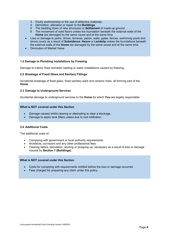- 3 Faulty workmanship or the use of defective materials.
- 4 Demolition, alteration or repair to the Buildings.
- 5 The bedding down of new structures or Settlement of made-up ground.
- 6 The movement of solid floors unless the foundation beneath the external walls of the Home are damaged by the same cause and at the same time.
- Loss or damage to paths, drives, terraces, patios, walls, gates, fences, swimming pools and tennis courts as a result of Subsidence, Heave or Landslip unless the foundations beneath the external walls of the Home are damaged by the same cause and at the same time.
- Diminution of Market Value

#### 1.2 Damage to Plumbing Installations by Freezing

Damage to interior fixed domestic heating or water installations caused by freezing.

#### 2.2 Breakage of Fixed Glass and Sanitary Fittings

Accidental breakage of fixed glass, fixed sanitary ware and ceramic hobs, all forming part of the Home.

#### 2.3 Damage to Underground Services

Accidental damage to underground services to the **Home** for which You are legally responsible.

#### What is NOT covered under this Section

- Damage caused whilst clearing or attempting to clear a blockage.
- Damage to septic tank filters unless due to root infiltration.

#### 2.4 Additional Costs

The additional costs of:

- Complying with government or local authority requirements.
- Architects, surveyors and any other professional fees.
- Clearing debris, demolition, shoring or propping up, necessary as a result of loss or damage insured by Section 1 (Buildings).

#### What is NOT covered under this Section

- Costs for complying with requirements notified before the loss or damage occurred.
- Fees charged for preparing any claim under this policy.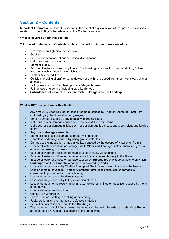# Section 2 – Contents

Important Information – Under this section in the event of any claim We will not pay any Excesses as shown in the Policy Schedule against the Contents section.

#### What IS covered under this Section

#### 2.1 Loss of or damage to Contents whilst contained within the Home caused by:

- Fire, explosion, lightning, earthquake.
- Smoke.
- Riot, civil commotion, labour or political disturbances.
- Malicious persons or vandals.
- Storm or Flood.
- Escape of water or oil from any interior fixed heating or domestic water installation, fridges, freezers, washing machines or dishwashers.
- Theft or Attempted Theft.
- Collision involving aircraft or aerial devices or anything dropped from them, vehicles, trains or animals.
- Falling trees or branches, lamp posts or telegraph poles.
- Falling receiving aerials (including satellite dishes).
- Subsidence or Heave of the site on which Buildings stand, or Landslip.

#### What is NOT covered under this Section

- Any amount exceeding £500 for loss or damage caused by Theft or Attempted Theft from Outbuildings (other than attached garages).
- Smoke damage caused by any gradually operating cause.
- Malicious loss or damage caused by persons lawfully in the Home.
- Malicious loss or damage unless such loss or damage is consequent upon violent and forcible entry.
- Any loss or damage caused by frost.
- Storm or Flood loss or damage to property in the open.
- Flood loss or damage caused by rising groundwater levels.
- Damage to the installation or appliance itself caused by the escape of water or oil from it.
- Escape of water or oil loss or damage due to **Wear and Tear**, gradual deterioration, gradual emission or arising from wet or dry rot.
- Escape of water or oil loss or damage caused by faulty workmanship.
- Escape of water or oil loss or damage caused by any person lawfully in the Home.
- Escape of water or oil loss or damage caused by **Subsidence** or Heave of the site on which Buildings stand, or Landslip other than as covered by 2.1(k).
- Loss or damage caused by Theft or Attempted Theft by any person lawfully in the **Home**.
- Loss or damage caused by Theft or Attempted Theft unless such loss or damage is consequent upon violent and forcible entry.
- Loss or damage caused by domestic pets.
- Loss or damage caused by felling or lopping of trees.
- Loss or damage to the receiving aerial, satellite dishes, fittings or mast itself caused by the fall of the device.
- Loss or damage resulting from:
- Coastal or river erosion.
- The foundations settling, shrinking or expanding.
- Faulty workmanship or the use of defective materials
- Demolition, alteration or repair to the **Buildings**.
- The movement of solid floors unless the foundation beneath the external walls of the Home are damaged by the same cause and at the same time.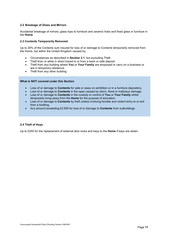#### 2.2 Breakage of Glass and Mirrors

Accidental breakage of mirrors, glass tops to furniture and ceramic hobs and fixed glass in furniture in the Home.

#### 2.3 Contents Temporarily Removed

Up to 20% of the Contents sum insured for loss of or damage to Contents temporarily removed from the Home, but within the United Kingdom caused by:

- Circumstances as described in Section 2.1, but excluding Theft.
- Theft from or while in direct transit to or from a bank or safe deposit.
- Theft from any building where You or Your Family are employed or carry on a business or are in temporary residence.
- Theft from any other building.

#### What is NOT covered under this Section

- Loss of or damage to **Contents** for sale or away on exhibition or in a furniture depository.
- Loss of or damage to **Contents** in the open caused by storm, flood or malicious damage.
- Loss of or damage to Contents in the custody or control of You or Your Family whilst temporarily living away from the Home for the purpose of education.
- Loss of or damage to **Contents** by theft unless involving forcible and violent entry to or exit from a building.
- Any amount exceeding £2,500 for loss of or damage to **Contents** from outbuildings.

#### 2.4 Theft of Keys

Up to £250 for the replacement of external door locks and keys to the **Home** if keys are stolen.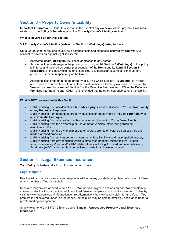# Section 3 – Property Owner's Liability

Important Information – Under this section in the event of any claim We will not pay any Excesses as shown in the Policy Schedule against the Property Owner's Liability section.

#### What IS covered under this Section

#### 3.1 Property Owner's Liability (subject to Section 1 (Buildings) being in force)

Up to £2,000,000 for any one cause, plus defence costs and expenses incurred by You with Our consent to cover You against legal liability for:

- Accidental death, **Bodily Injury**, illness or disease to any person.
- Accidental loss or damage to the property occurring whilst Section 1 (Buildings) of this policy is in force and incurred as owner (not occupier) of the Home and its Land. If Section 1 (Buildings) of this policy expires or is cancelled, this particular cover shall continue for a period of 7 years in respect only of the Home.
- Accidental loss or damage to the property occurring whilst Section 1 (Buildings) is in force and incurred in connection with any other private residence formerly owned and occupied by You and incurred by reason of Section 3 of the Defective Premises Act 1972 or the Defective Premises (Northern Ireland) Order 1975, provided that no other insurance covers the liability.

#### What is NOT covered under this Section

- Liability arising from accidental death, Bodily Injury, illness or disease to You or Your Family or any Domestic Employee.
- Liability arising from damage to property, business or employment of You or Your Family or any Domestic Employee.
- Liability arising from any profession, business or employment of You or Your Family.
- Liability arising from the ownership or use of motor vehicles (other than gardening machines)or lifts.
- Liability arising from the ownership or use of aircraft, drones or watercraft unless they are models or hand propelled.
- Liability arising from any agreement or contract unless liability would have applied anyway.
- Liability arising from any condition which is directly or indirectly related to HIV (Human Immunodeficiency Virus) and/or HIV related illness including Acquired Immune Deficiency Syndrome (AIDS) and/or mutant derivatives or variations, however caused.

# Section 4 – Legal Expenses Insurance

Your Policy Schedule tells You if this section is in force.

#### Legal Helpline

Use the 24 hour advisory service for telephone advice on any private legal problem of concern to You or any member of Your household.

Specialist lawyers are at hand to help You. If You need a lawyer to act for You and Your problem is covered under this insurance, the helpline will ask You to complete and submit a claim form online by visiting www.arclegal.co.uk/informationcentre. Alternatively they will send a claim form to You. If Your problem is not covered under this insurance, the helpline may be able to offer You assistance under a private funding arrangement.

Simply telephone 0344 770 1040 and quote "Tansar – Unoccupied Property Legal Expenses Insurance".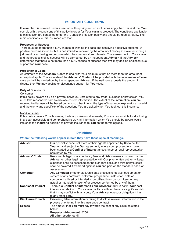#### IMPORTANT CONDITIONS

If Your claim is covered under a section of this policy and no exclusions apply then it is vital that You comply with the conditions of this policy in order for **Your** claim to proceed. The conditions applicable to this section are contained under the 'Conditions' section below and should be read carefully. The main conditions to this insurance are that:

#### Prospects of Success

There must be more than a 50% chance of winning the case and achieving a positive outcome. A positive outcome includes, but is not limited to, recovering the amount of money at stake, enforcing a judgment or achieving an outcome which best serves Your interests. The assessment of Your claim and the prospects of its success will be carried out by an independent **Adviser**. If the **Adviser** determines that there is not more than a 50% chance of success then We may decline or discontinue support for **Your** case.

#### Proportional Costs

An estimate of the Advisers' Costs to deal with Your claim must not be more than the amount of money in dispute. The estimate of the **Advisers' Costs** will be provided with the assessment of **Your** case and will be carried out by the independent **Adviser**. If the estimate exceeds the amount in dispute then We may decline or discontinue support for Your case.

#### Duty of Disclosure

#### Consumer

If this policy covers You as a private individual, unrelated to any trade, business or profession, You must take reasonable care to disclose correct information. The extent of the information You are required to disclose will be based on, among other things, the type of insurance, explanatory material and the clarity and specificity of the questions You are asked when You took out this insurance.

#### Non-Consumer

If this policy covers Your business, trade or professional interests, You are responsible for disclosing, in a clear, accessible and comprehensive way, all information which You should be aware would influence the Insurer's decision to provide insurance to You on the terms agreed.

#### **Definitions**

#### Where the following words appear in bold they have these special meanings.

| <b>Adviser</b>              | <b>Our</b> specialist panel solicitors or their agents appointed by Us to act for<br>You, or, and subject to Our agreement, where court proceedings have<br>been started or a Conflict of Interest arises, another legal representative<br>nominated by You.                                                                    |
|-----------------------------|---------------------------------------------------------------------------------------------------------------------------------------------------------------------------------------------------------------------------------------------------------------------------------------------------------------------------------|
| <b>Advisers' Costs</b>      | Reasonable legal or accountancy fees and disbursements incurred by the<br>Adviser or other legal representative with Our prior written authority. Legal<br>expenses shall be assessed on the standard basis and third party's costs<br>shall be covered if awarded against You and paid on the standard basis of<br>assessment. |
| <b>Computer</b>             | Any Computer or other electronic data processing device, equipment or<br>system or any hardware, software, programme, instruction, data or<br>component utilised or intended to be utilised in or by such item, or any<br>actual or intended function of or process performed by any of them.                                   |
| <b>Conflict of Interest</b> | There is a Conflict of Interest if Your Advisers' duty to act in Your best<br>interests in relation to Your claim conflicts with, or there is a significant risk<br>that it may conflict with, any duty Your Adviser owes, or obligation it has,<br>to any other party.                                                         |
| <b>Disclosure Breach</b>    | Disclosing false information or failing to disclose relevant information in the<br>process of entering into this insurance contract.                                                                                                                                                                                            |
| <b>Excess</b>               | The amount that You must pay towards the cost of any claim as stated<br>below:<br><b>Property Infringement: £250</b><br>All other sections: Nil                                                                                                                                                                                 |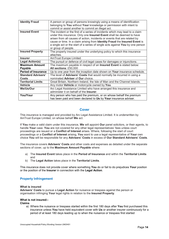| <b>Identity Fraud</b>      | A person or group of persons knowingly using a means of identification                                                                                                                                                                                                                                                                                                                                                   |
|----------------------------|--------------------------------------------------------------------------------------------------------------------------------------------------------------------------------------------------------------------------------------------------------------------------------------------------------------------------------------------------------------------------------------------------------------------------|
|                            | belonging to You without Your knowledge or permission with intent to                                                                                                                                                                                                                                                                                                                                                     |
|                            | commit or assist another to commit an illegal act.                                                                                                                                                                                                                                                                                                                                                                       |
| <b>Insured Event</b>       | The incident or the first of a series of incidents which may lead to a claim<br>under this insurance. Only one Insured Event shall be deemed to have<br>arisen from all causes of action, incidents or events that are related by<br>cause or time. In a claim arising from Identity Fraud the Insured Event is<br>a single act or the start of a series of single acts against You by one person<br>or group of people. |
| <b>Insured Property</b>    | The property insured under the underlying policy to which this insurance<br>attaches.                                                                                                                                                                                                                                                                                                                                    |
| <b>Insurer</b>             | AmTrust Europe Limited.                                                                                                                                                                                                                                                                                                                                                                                                  |
| <b>Legal Action(s)</b>     | The pursuit or defence of civil legal cases for damages or injunctions.                                                                                                                                                                                                                                                                                                                                                  |
| <b>Maximum Amount</b>      | The maximum payable in respect of an Insured Event is stated below:                                                                                                                                                                                                                                                                                                                                                      |
| Payable                    | All sections: £50,000                                                                                                                                                                                                                                                                                                                                                                                                    |
| <b>Period of Insurance</b> | Up to one year from the inception date shown on Your insurance schedule.                                                                                                                                                                                                                                                                                                                                                 |
| <b>Standard Advisers'</b>  | The level of <b>Advisers' Costs</b> that would normally be incurred in using a                                                                                                                                                                                                                                                                                                                                           |
| Costs                      | nominated Adviser of Our choice.                                                                                                                                                                                                                                                                                                                                                                                         |
| <b>Territorial Limits</b>  | Great Britain, Northern Ireland, the Isle of Man and the Channel Islands.                                                                                                                                                                                                                                                                                                                                                |
| <b>Vehicle</b>             | Any motor Vehicle or motorcycle owned by You.                                                                                                                                                                                                                                                                                                                                                                            |
| We/Us/Our                  | Arc Legal Assistance Limited who have arranged this insurance and<br>administer it on behalf of the Insurer.                                                                                                                                                                                                                                                                                                             |
| You/Your                   | Any person who has paid the premium, or on whose behalf the premium<br>has been paid and been declared to Us by Your insurance adviser.                                                                                                                                                                                                                                                                                  |

### Cover

This insurance is managed and provided by Arc Legal Assistance Limited. It is underwritten by AmTrust Europe Limited, on whose behalf We act.

If You make a valid claim under this insurance, We will appoint Our panel solicitors, or their agents, to handle Your case. You are not covered for any other legal representatives' fees unless court proceedings are issued or a Conflict of Interest arises. Where, following the start of court proceedings or a Conflict of Interest arising, You want to use a legal representative of Your own choice You will be responsible for any Advisers' Costs in excess of Our Standard Advisers' Costs.

The insurance covers **Advisers' Costs** and other costs and expenses as detailed under the separate sections of cover, up to the Maximum Amount Payable where:

- a) The Insured Event takes place in the Period of Insurance and within the Territorial Limits and
- b) The Legal Action takes place in the Territorial Limits.

This insurance does not provide cover where something You do or fail to do prejudices Your position or the position of the **Insurer** in connection with the Legal Action.

#### Property Infringement

#### What is insured

Advisers' Costs to pursue a Legal Action for nuisance or trespass against the person or organisation infringing Your legal rights in relation to the Insured Property.

#### What is not insured:-

Claims

a) Where the nuisance or trespass started within the first 180 days after You first purchased this insurance unless You have held equivalent cover with Us or another insurer continuously for a period of at least 180 days leading up to when the nuisance or trespass first started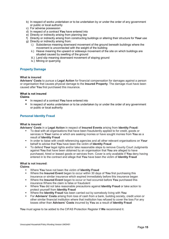- b) In respect of works undertaken or to be undertaken by or under the order of any government or public or local authority
- c) For adverse possession
- d) In respect of a contract You have entered into
- e) Directly or indirectly arising from planning law
- f) Directly or indirectly arising from constructing buildings or altering their structure for Your use
- g) Directly or indirectly arising from:
	- i.) Subsidence meaning downward movement of the ground beneath buildings where the movement is unconnected with the weight of the building
	- ii.) Heave meaning the upward or sideways movement of the site on which buildings are situated caused by swelling of the ground
	- iii.) Land slip meaning downward movement of sloping ground
	- iv.) Mining or quarrying

#### Property Damage

#### What is insured

Advisers' Costs to pursue a Legal Action for financial compensation for damages against a person or organisation that causes physical damage to the Insured Property. The damage must have been caused after You first purchased this insurance.

### What is not insured

Claims

- In respect of a contract You have entered into
- In respect of works undertaken or to be undertaken by or under the order of any government or public or local authority

#### Personal Identity Fraud

#### What is insured

Advisers' Costs in a Legal Action in respect of Insured Events arising from Identity Fraud:

- To deal with all organisations that have been fraudulently applied to for credit, goods or services in Your name or which are seeking monies or have sought monies from You as a result of Identity Fraud
- In order to liaise with credit referencing agencies and all other relevant organisations on Your behalf to advise that You have been the victim of Identity Fraud
- To defend Your legal rights and/or take reasonable steps to remove County Court Judgments against You that have been obtained by an organisation that You are alleged to have purchased, hired or leased goods or services from. Cover is only available if You deny having entered in to the contract and allege that You have been the victim of Identity Fraud

#### What is not insured:

Claims

- Where You have not been the victim of Identity Fraud
- Where the Insured Event began to occur within 30 days of You first purchasing this insurance or similar insurance which expired immediately before this insurance began
- Where the Insured Event began to occur or had occurred before You purchased this insurance Where the claim is false or fraudulent
- **Where You did not take reasonable precautions against Identity Fraud or take action to** protect yourself from Identity Fraud
- protect yoursell hold tasking fraut.
- For Advisers' Costs arising from loss of cash from a bank, building society, credit union or other similar financial institution where that institution has refused to cover the loss For any losses other than Advisers' Costs incurred by You as a result of Identity Fraud

You must agree to be added to the CIFAS Protection Register if We recommend it.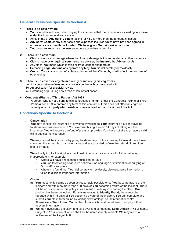### General Exclusions Specific to Section 4

#### 1. There is no cover where:-

- a) You should have known when buying this insurance that the circumstances leading to a claim under this insurance already existed
- b) An estimate of Advisers' Costs of acting for You is more than the amount in dispute
- c) Advisers' Costs or any other costs and expenses incurred which have not been agreed in advance or are above those for which We have given Our prior written approval
- d) Your insurers repudiate the insurance policy or refuse indemnity

#### 2. There is no cover for:-

- a) Claims over loss or damage where that loss or damage is insured under any other insurance
- b) Claims made by or against Your insurance adviser, the Insurer, the Adviser or Us
- c) Any claim You make which is false or fraudulent or exaggerated
- d) Defending Legal Actions arising from anything You did deliberately or recklessly
- e) Costs if Your claim is part of a class action or will be affected by or will affect the outcome of other claims

#### 3. There is no cover for any claim directly or indirectly arising from:-

- a) A dispute between You and someone You live with or have lived with
- b) An application for a judicial review
- c) Defending or pursuing new areas of law or test cases

#### 4. Contracts (Rights of Third Parties) Act 1999

A person who is not a party to this contract has no right under the Contracts (Rights of Third Parties) Act 1999 to enforce any term of this contract but this does not affect any right or remedy of a third party which exists or is available other than by virtue of this Act..

### Conditions Specific to Section 4

1. Cancellation

You may cancel this insurance at any time by writing to Your insurance advisor providing fourteen days written notice. If You exercise this right within 14 days of taking out this insurance, You will receive a refund of premium provided You have not already made a valid claim against the insurance.

We may cancel the insurance by giving fourteen days' notice in writing to You at the address shown on the schedule, or an alternative address provided by You. No refund of premium shall be made.

We will only invoke this right in exceptional circumstances as a result of You behaving inappropriately, for example:

- Where **We** have a reasonable suspicion of fraud<br>
Not use threatening or abusive behaviour or land
- You use threatening or abusive behaviour or language or intimidation or bullying of Our staff or suppliers
- **Where it is found that You, deliberately or recklessly, disclosed false information or** failed to disclose important information

#### 2. Claims

- a) You must notify claims as soon as reasonably possible once You become aware of the incident and within no more than 180 days of You becoming aware of the incident. There will be no cover under this policy if, as a result of a delay in reporting the claim, **Our** position has been prejudiced. For claims relating to Identity Fraud, these must be reported within 45 days of You becoming aware of the incident. You can complete and submit Your claim form online by visiting www.arclegal.co.uk/informationcentre. Alternatively, We will send You a claim form which must be returned promptly with all relevant information.
- b) We may investigate the claim and take over and conduct the Legal Action in Your name. Subject to Your consent which shall not be unreasonably withheld We may reach a settlement of the Legal Action.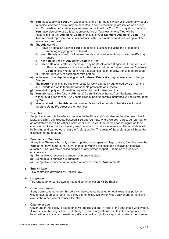- c) You must supply at Your own expense all of the information which We reasonably require to decide whether a claim may be accepted. If court proceedings are issued or a arises, and You wish to nominate a legal representative to act for You, You may do so. Where You have elected to use a legal representative of Your own choice You will be responsible for any Advisers' Costs in excess of Our Standard Advisers' Costs. The Adviser must represent You in accordance with Our standard conditions of appointment available on request.
- d) The Adviser will:
	- i) Provide a detailed view of Your prospects of success including the prospects of enforcing any judgment obtained.
	- ii) Keep Us fully advised of all developments and provide such information as We may require.
	- iii) Keep Us advised of Advisers' Costs incurred.
	- $iv)$  Advise Us of any offers to settle and payments into court. If against Our advice such offers or payments are not accepted there shall be no further cover for **Advisers'** Costs unless We agree in Our absolute discretion to allow the case to proceed. v) Attempt recovery of costs from third parties.
- e) In the event of a dispute arising as to **Advisers' Costs We** may require You to change **Adviser**
- f) The Insurer shall only be liable for costs for work expressly authorised by Us in writing and undertaken while there are reasonable prospects of success.
- g) You shall supply all information requested by the Adviser and Us.
- h) You are responsible for any Advisers' Costs if You withdraw from the Legal Action without Our prior consent. Any costs already paid under this insurance will be reimbursed by You.
- i) You must instruct the Adviser to provide Us with all information that We ask for and report to Us as We direct at their own cost.

#### 3. Disputes

Subject to Your right to refer a complaint to the Financial Ombudsman Service (see 'How to Make a Claim'), any dispute between You and Us may, where we both agree, be referred to an arbitrator who will be either a solicitor or a barrister. If the parties cannot agree on their choice of arbitrator the Law Society may be asked to make a nomination. The arbitration will be binding and carried out under the Arbitration Act. The costs of the arbitration will be at the discretion of the arbitrator.

#### 4. Prospects of Success

At any time We may, but only when supported by independent legal advice, form the view that You do not have a more than 50% chance of winning the case and achieving a positive outcome. If so, We may decline support or any further support. Examples of a positive outcome are:

- a) Being able to recover the amount of money at stake
- b) Being able to enforce a judgement
- c) Being able to achieve an outcome which best serves Your interests

#### 5. English Law

This contract is governed by English Law.

#### 6. Language

The language for contractual terms and communication will be English.

#### 7. Other insurances

If any claim covered under this policy is also covered by another legal expenses policy, or would have been covered if this policy did not exist, We will only pay Our share of the claim even if the other insurer refuses the claim.

#### 8. Change in Law

Cover under this policy is based on laws and regulations in force at the time that it was written. If We believe that any subsequent change in law or regulations results in the scope of cover being either restricted or broadened, We reserve the right to accept claims where the change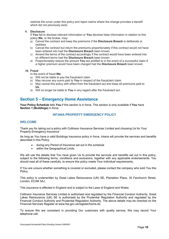restricts the cover under this policy and reject claims where the change provides a benefit which did not previously exist.

9. Disclosure

If You fail to disclose relevant information or You disclose false information in relation to this policy We, or the broker, may:

- a) Cancel the contract and keep the premiums if the Disclosure Breach is deliberate or reckless
- b) Cancel the contract but return the premiums proportionately if this contract would not have been entered into had the **Disclosure Breach** been known
- c) Amend the terms of the contract accordingly if the contract would have been entered into on different terms had the Disclosure Breach been known
- d) Proportionately reduce the amount You are entitled to in the event of a successful claim if a higher premium would have been charged had the Disclosure Breach been known

#### 10. Fraud

In the event of fraud We:

- a) Will not be liable to pay the fraudulent claim
- b) May recover any sums paid to **You** in respect of the fraudulent claim
- c) May cancel this policy with effect from the fraudulent act and keep all premiums paid to Us.
- d) Will no longer be liable to You in any regard after the fraudulent act.

### Section 5 – Emergency Home Assistance

Your Policy Schedule tells You if this section is in force. This section is only available if You have Section 1 (Buildings) in force.

#### INTANA PROPERTY EMERGENCY POLICY

#### WELCOME

Thank you for taking out a policy with Collinson Insurance Services Limited and choosing Us for Your Property Emergency Insurance

As long as You have a valid Buildings insurance policy in force, Intana will provide the services and benefits described in this Policy:

- during any Period of Insurance set out in the schedule
- within the Geographical Limits

We will use the details that You have given Us to provide the services and benefits set out in this policy, subject to the following terms, conditions and exclusions, together with any applicable endorsements. You should read all of these carefully, to ensure this policy meets Your individual requirements.

If You are unsure whether something is covered or excluded, please contact the company who sold You this Policy.

This policy is underwritten by Great Lakes Reinsurance (UK) SE, Plantation Place, 30 Fenchurch Street, London, EC3M 3AJ.

This insurance is effected in England and is subject to the Laws of England and Wales.

Collinson Insurance Services Limited is authorised and regulated by the Financial Conduct Authority. Great Lakes Reinsurance (UK) SE is authorised by the Prudential Regulation Authority and regulated by the Financial Conduct Authority and Prudential Regulation Authority. The above details may be checked on the Financial Services Register at www.fsa.gov.uk/register/home.do

To ensure We are consistent in providing Our customers with quality service, We may record Your telephone call.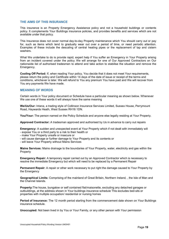#### THE AIMS OF THIS INSURANCE

This insurance is an Property Emergency Assistance policy and not a household buildings or contents policy. It complements Your Buildings insurance policies, and provides benefits and services which are not available under that policy.

This Insurance does not cover normal day-to-day Property maintenance which You should carry out or pay for, such as items which tend to gradually wear out over a period of time, or need periodic attention. Examples of these include the descaling of central heating pipes or the replacement of tap and cistern washers.

What We undertake to do is provide rapid, expert help if You suffer an Emergency in Your Property arising from an incident covered under the policy. We will arrange for one of Our Approved Contractors on Our nationwide list of authorised tradesmen to attend and take action to stabilise the situation and remove the Emergency.

Cooling Off Period: If, when reading Your policy, You decide that it does not meet Your requirements, please return the policy and Certificate within 14 days of the date of issue or receipt of the terms and conditions, whichever is later. We will refund to You any premium You have paid and We will recover from You any payments We have made.

#### MEANING OF WORDS

Certain words in Your policy document or Schedule have a particular meaning as shown below. Whenever We use one of these words it will always have the same meaning

We/Us/Our: Intana, a trading style of Collinson Insurance Services Limited, Sussex House, Perrymount Road, Haywards Heath, West Sussex RH16 1DN.

You/Your: The person named on the Policy Schedule and anyone else legally residing at Your Property.

Approved Contractor: A tradesman approved and authorised by Us in advance to carry out repairs

Emergency: A sudden and unexpected event at Your Property which if not dealt with immediately will

- expose You or a third party to a risk to their health or
- make Your Property unsafe or insecure or
- will cause damage or further damage to Your Property and its contents or
- will leave Your Property without Mains Services

Mains Services: Mains drainage to the boundaries of Your Property, water, electricity and gas within the Property

Emergency Repair: A temporary repair carried out by an Approved Contractor which is necessary to resolve the immediate Emergency but which will need to be replaced by a Permanent Repair

**Permanent Repair:** A repair or other work necessary to put right the damage caused to Your Property by the Emergency

Geographical Limits: Comprising of the mainland of Great Britain, Northern Ireland, , the Isle of Man and the Channel Islands.

Property:The house, bungalow or self contained flat/maisonette, excluding any detached garages or outbuildings, at the address shown in Your buildings insurance schedule This excludes bed-sits or properties with multiple occupation/ residential or nursing homes

Period of Insurance: The 12 month period starting from the commencement date shown on Your Buildings insurance schedule.

Unoccupied: Not been lived in by You or Your Family, or any other person with Your permission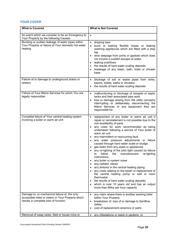### YOUR COVER

| <b>What is Covered</b>                                                                                                                        | <b>What is Not Covered</b>                                                                                                                                                                                                                                                                                                                                                                                                                                                                                                                                                                                                                                                                                                                                                                                                                                                                                                                                                     |  |
|-----------------------------------------------------------------------------------------------------------------------------------------------|--------------------------------------------------------------------------------------------------------------------------------------------------------------------------------------------------------------------------------------------------------------------------------------------------------------------------------------------------------------------------------------------------------------------------------------------------------------------------------------------------------------------------------------------------------------------------------------------------------------------------------------------------------------------------------------------------------------------------------------------------------------------------------------------------------------------------------------------------------------------------------------------------------------------------------------------------------------------------------|--|
| An event which we consider to be an Emergency to<br>Your Property by the following Causes:                                                    | $\bullet$                                                                                                                                                                                                                                                                                                                                                                                                                                                                                                                                                                                                                                                                                                                                                                                                                                                                                                                                                                      |  |
| Bursting or sudden leakage of water pipes within<br>Your Property or failure of Your domestic hot water<br>heating                            | dripping taps<br>$\bullet$<br>burst or leaking flexible hoses or leaking<br>$\bullet$<br>washing appliances which are fitted with a stop<br>tap.<br>slow seepage from joints or gaskets which does<br>not involve a sudden escape of water.<br>leaking overflows<br>$\bullet$<br>the results of hard water scaling deposits<br>$\bullet$<br>breakage of any basin, bath, bidet or shower<br>base                                                                                                                                                                                                                                                                                                                                                                                                                                                                                                                                                                               |  |
| Failure of or damage to underground drains or<br>sewers                                                                                       | blockage of soil or waste pipes from sinks,<br>$\bullet$<br>basins, bidets, baths or showers<br>the results of hard water scaling deposits<br>$\bullet$                                                                                                                                                                                                                                                                                                                                                                                                                                                                                                                                                                                                                                                                                                                                                                                                                        |  |
| Failure of Your Mains Services for which You are<br>legally responsible                                                                       | malfunctioning or blockage of cesspits or septic<br>$\bullet$<br>tanks and their associated pipe work<br>loss or damage arising from the utility company<br>$\bullet$<br>interrupting or deliberately disconnecting the<br>Mains Services or any equipment they are<br>responsible for                                                                                                                                                                                                                                                                                                                                                                                                                                                                                                                                                                                                                                                                                         |  |
| Complete failure of Your central heating system<br>involving a boiler or warm air unit                                                        | replacement of any boiler or warm air unit if<br>$\bullet$<br>repair or reinstatement is not possible due to the<br>non-availability of parts.<br>any costs for work recommended as being<br>$\bullet$<br>undertaken following a service of Your boiler of<br>warm air unit<br>any intermittent or reoccurring fault.<br>$\bullet$<br>any water pressure adjustments or failure<br>٠<br>caused through hard water scale or sludge.<br>gas leaks from any pipes or appliances<br>$\bullet$<br>any re-lighting of the pilot light caused by failure<br>follow<br>manufacturers<br>re-lighting<br>to<br>the<br>instructions.<br>any boiler or system noise<br>any radiator valves<br>any airlocks in the central heating piping<br>any costs relating to the repair or replacement of<br>the central heating pump or wall or room<br>thermostat<br>the results of hard water scaling deposits<br>which is over 10 years old and has an output<br>more than 60kw per hour capacity |  |
| Damage to, or mechanical failure of, the only<br>accessible toilet or cistern in Your Property which<br>results in complete loss of function. | any claim where there is another working toilet<br>$\bullet$<br>within Your Property<br>breakdown of, loss of or damage to Saniflow<br>$\bullet$<br>toilets<br>cost of replacement ceramics or parts<br>$\bullet$                                                                                                                                                                                                                                                                                                                                                                                                                                                                                                                                                                                                                                                                                                                                                              |  |
| Removal of wasp nests, field or house mice or                                                                                                 | any infestations or pests in gardens, or<br>$\bullet$                                                                                                                                                                                                                                                                                                                                                                                                                                                                                                                                                                                                                                                                                                                                                                                                                                                                                                                          |  |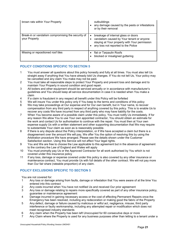| brown rats within Your Property                                     | outbuildings<br>any damage caused by the pests or infestations<br>or by their removal                                                                                                 |
|---------------------------------------------------------------------|---------------------------------------------------------------------------------------------------------------------------------------------------------------------------------------|
| Break-in or vandalism compromising the security of<br>your Property | breakage of internal glass or doors<br>$\bullet$<br>vandalism caused by Your tenant or anyone<br>staying at Your property with Your permission<br>any loss not reported to the Police |
| Missing or repositioned roof tiles                                  | flat or Tarpaulin Roofs<br>blocked or misaligned guttering                                                                                                                            |

### POLICY CONDITIONS SPECIFIC TO SECTION 5

- 1 You must answer all questions about this policy honestly and fully at all times. You must also tell Us straight away if anything that You have already told Us changes. If You do not tell Us, Your policy may be cancelled and any claim You make may not be paid.
- 2 You must take all reasonable steps to protect Your Property and prevent loss and damage and to maintain Your Property in sound condition and good repair.
- 3 All boilers and other equipment should be serviced annually or in accordance with manufacturer's guidelines and You should keep all service documentation in case it is needed when You make a claim
- 4 If a claim is fraudulent in any respect all benefit under this Policy will be forfeited
- We will insure You under this policy only if You keep to the terms and conditions of this policy
- 6 We may take proceedings at Our expense and for Our own benefit, but in Your name, to recover compensation from any third party in respect of anything covered by this policy. This is to enable Us to recover any costs We have incurred from any third party who may have liability for the costs.
- 7 When You become aware of a possible claim under this policy, You must notify Us immediately. If for any reason We allow You to use Your own appointed contractor, You should obtain an estimate for the work and contact Us for authorisation to continue with the repair. You must then at Your own expense supply Us with a written statement and other supporting documentation that We may require to substantiate Your claim as soon as is reasonably possible.
- 8 If there is any dispute about the Policy interpretation, or if We have accepted a claim but there is a disagreement over the amount We will pay, We offer You the option of resolving this by using the Arbitration procedure We have arranged. Please see the details shown under the Customer Satisfaction section. Using this Service will not affect Your legal rights.
- 9 You and We are free to choose the Law applicable to this agreement but in the absence of agreement to the contrary the Law of England and Wales will apply
- 10 You must promptly pay Us or the Approved Contractor for all work authorised by You which is not covered under this insurance policy
- 11 If any loss, damage or expense covered under this policy is also covered by any other insurance or maintenance contract, You must provide Us with full details of the other contract. We will not pay more than Our fair share (rateable proportion) of any claim.

### POLICY EXCLUSIONS SPECIFIC TO SECTION 5

You are not covered for:

- 1 Any loss or damage arising from faults, damage or infestation that You were aware of at the time You entered into this contract
- 2 Any costs incurred when You have not notified Us and received Our prior agreement
- 3 Any loss or damage relating to repairs more specifically covered as part of any other insurance policy, guarantee or maintenance agreement
- 4 Damage incurred in gaining necessary access or the cost of effecting Permanent Repairs once the Emergency has been resolved, including any redecoration or making good the fabric of the Property
- 5 Any defect, damage or failure caused by malicious or wilful act, negligence, misuse, third party interference or faulty workmanship, including any attempted repair or modification which does not meet recognised industry standards
- 6 Any claim when the Property has been left Unoccupied for 60 consecutive days or more
- 7 Any Claim where the Property is used for any business purposes other than letting to a tenant under a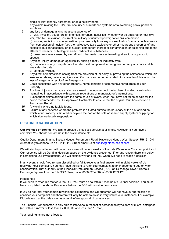single or joint tenancy agreement or as a holiday home.

- 8 Any claims relating to CCTV, fire, security or surveillance systems or to swimming pools, ponds or fountains
- 9 any loss or damage arising as a consequence of:

a) war, invasion, act of foreign enemies, terrorism, hostilities (whether war be declared or not), civil war, rebellion, revolution, insurrection, military or usurped power; riot or civil commotion b) ionising radiation or contamination by radioactivity from any nuclear fuel or from any nuclear waste from combustion of nuclear fuel, the radioactive toxic explosive or other hazardous properties of any explosive nuclear assembly or its nuclear component thereof or contamination or poisoning due to the effects of chemical or biological and/or radioactive substances.

c) pressure waves caused by aircraft and other aerial devices travelling at sonic or supersonic speeds.

- 10 Any loss, injury, damage or legal liability arising directly or indirectly from: a) the failure of any computer or other electrical component to recognise correctly any date and its true calendar date
	- b) computer viruses
- 11 Any direct or indirect loss arising from the provision of, or delay in, providing the services to which this insurance relates, unless negligence on Our part can be demonstrated. An example of this would be loss of wages as a result of an Emergency.
- 12 Costs associated with any other property, home contents or communal/shared areas of Your Property.
- 13 Any loss, injury or damage arising as a result of equipment not having been installed, serviced or maintained in accordance with statutory regulations or manufacturer's instructions.
- 14 Subsequent claims arising from the same cause or event, when You have not taken or paid for the action recommended by Our Approved Contractor to ensure that the original fault has received a Permanent Repair.
- 15 Any claim where no fault is found.
- 16 Failure of any services where the problem is situated outside the boundary of the plot of land on which Your Property is situated or beyond the part of the sole or shared supply system or piping for which You are legally responsible.

### CUSTOMER SATISFACTION

Our Promise of Service: We aim to provide a first class service at all times. However, If You have a complaint You should contact Us in the first instance at:

Quality Department, Intana, Sussex House, Perrymount Road, Haywards Heath, West Sussex, RH16 1DN. Alternatively telephone Us on 01444 442 010 or email Us at quality@intana-assist.com

We will aim to provide You with a full response within four weeks of the date We receive Your complaint and Our response will be Our final decision based on the evidence presented. If for any reason there is a delay in completing Our investigations, We will explain why and tell You when We hope to reach a decision.

In any event, should You remain dissatisfied or fail to receive a final answer within eight weeks of Us receiving Your complaint, You may have the right to refer Your complaint to an independent authority for consideration. That authority is the Financial Ombudsman Service (FOS) at: Exchange Tower, Harbour Exchange Square, London E14 9SR. Telephone: 0800 0234 567 or 0300 1239 123.

#### Please note

If You wish to refer this matter to the FOS You must do so within 6 months of Our final decision. You must have completed the above Procedure before the FOS will consider Your case.

If you do not refer your complaint within the six months, the Ombudsman will not have our permission to consider your complaint and therefore will only be able to do so in very limited circumstances. For example, if it believes that the delay was as a result of exceptional circumstances.

The Financial Ombudsman is only able to intervene in respect of personal policyholders or micro -enterprise (i.e. with a turnover of less than €2,000,000 and less than 10 staff).

Your legal rights are not affected.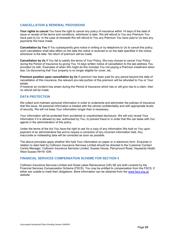#### CANCELLATION & RENEWAL PROVISIONS

Your rights to cancel You have the right to cancel any policy of insurance within 14 days of the date of issue or receipt of the terms and conditions, whichever is later. We will refund to You any Premium You have paid to Us. In the case of renewals We will refund to You any Premium You have paid to Us less any payments We have made.

Cancellation by You If You subsequently give notice in writing or by telephone to Us to cancel this policy, such cancellation shall take effect on the date the notice is received or on the date specified in the notice, whichever is the later. No return of premium will be made.

Cancellation by Us If You fail to satisfy the terms of Your Policy, We may choose to cancel Your Policy during the Period of Insurance by giving You 14 days written notice of cancellation to the last address You provided Us with. Examples of when We might do this includes You not paying a Premium instalment when due, Us discovering that Your property is no longer eligible for cover, etc.

Premium position upon cancellation by Us If premium has been paid for any period beyond the date of cancellation of this insurance, the relevant pro-rata portion of this premium will be refunded to You or Your estate.

If however an incident has arisen during the Period of Insurance which has or will give rise to a claim, then no refund will be made.

#### DATA PROTECTION

We collect and maintain personal information in order to underwrite and administer the policies of insurance that We issue. All personal information is treated with the utmost confidentiality and with appropriate levels of security. We will not keep Your information longer than is necessary.

Your information will be protected from accidental or unauthorised disclosure. We will only reveal Your information if it is allowed by law, authorised by You, to prevent fraud or in order that We can liaise with Our agents in the administration of this policy.

Under the terms of the Act You have the right to ask for a copy of any information We hold on You upon payment of an administrative fee and to require a correction of any incorrect information held. Any inaccurate or misleading data will be corrected as soon as possible.

The above principles apply whether We hold Your information on paper or in electronic form. Enquiries in relation to data held by Collinson Insurance Services Limited should be directed to the Customer Contact Centre Manager, Collinson Insurance Services Limited, Sussex House, Perrymount Road, Haywards Heath, West Sussex RH16 1DN.

#### FINANCIAL SERVICES COMPENSATION SCHEME FOR SECTION 5

Collinson Insurance Services Limited and Great Lakes Reinsurance (UK) SE are both covered by the Financial Services Compensation Scheme (FSCS). You may be entitled to compensation from the FSCS, if either are unable to meet their obligations. More information can be obtained from the www.fscs.org.uk website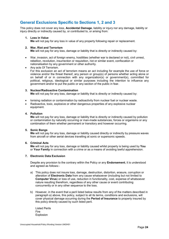# General Exclusions Specific to Sections 1, 2 and 3

This policy does not cover any loss. Accidental Damage, liability or injury nor any damage, liability or injury directly or indirectly caused by, or contributed to, or arising from:

#### 1. Loss in Value

We will not pay for any loss in value of any property following repair or replacement.

#### 2. War, Riot and Terrorism

We will not pay for any loss, damage or liability that is directly or indirectly caused by:

- War, invasion, act of foreign enemy, hostilities (whether war is declared or not), civil unrest, rebellion, revolution, insurrection or requisition, riot or similar event, confiscation or nationalisation by any government or other authority.
- Any acts Of Terrorism. For this exclusion an act of terrorism means an act including for example the use of force or violence and/or the threat thereof, any person or group(s) of persons whether acting alone or on behalf of or in connection with any organization(s) or government(s), committed for political, religious, ideological or similar purposes including the intention to influence any government and/or to put the public or any section of the public in fear.

#### 3. Nuclear/Radioactive Contamination

We will not pay for any loss, damage or liability that is directly or indirectly caused by:

- Ionising radiation or contamination by radioactivity from nuclear fuel or nuclear waste.
- Radioactive, toxic, explosive or other dangerous properties of any explosive nuclear equipment.

#### 4. Pollution

We will not pay for any loss, damage or liability that is directly or indirectly caused by pollution or contamination by naturally occurring or man-made substances, forces or organisms or any combination of them whether permanent or transitory and however occurring.

#### 5. Sonic Bangs

We will not pay for any loss, damage or liability caused directly or indirectly by pressure waves from aircraft or other aerial devices travelling at sonic or supersonic speeds.

#### 6. Criminal Acts

We will not pay for any loss, damage or liability caused whilst property is being used by You or Your Family in connection with a crime or as a means of avoiding lawful apprehension.

#### 7. Electronic Data Exclusion

Despite any provision to the contrary within the Policy or any **Endorsement**, it is understood and agreed as follows:-

- a) This policy does not insure loss, damage, destruction, distortion, erasure, corruption or alteration of Electronic Data from any cause whatsoever (including but not limited to Computer Virus) or loss of use, reduction in functionality, cost, expense of whatsoever nature resulting therefrom, regardless of any other cause or event contributing concurrently or in any other sequence to the loss.
- b) However, in the event that a peril listed below results from any of the matters described in paragraph a) above, this policy, subject to all its terms, conditions and exclusions, will cover physical damage occurring during the Period of Insurance to property insured by this policy directly caused by such listed peril.

Listed Perils Fire Explosion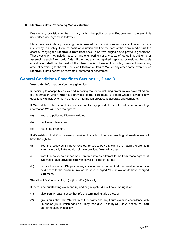#### 8. Electronic Data Processing Media Valuation

Despite any provision to the contrary within the policy or any **Endorsement** thereto, it is understood and agreed as follows:-

Should electronic data processing media insured by this policy suffer physical loss or damage insured by this policy, then the basis of valuation shall be the cost of the blank media plus the costs of copying the Electronic Data from back-up or from originals of a previous generation. These costs will not include research and engineering nor any costs of recreating, gathering or assembling such Electronic Data. If the media is not repaired, replaced or restored the basis of valuation shall be the cost of the blank media. However this policy does not insure any amount pertaining to the value of such Electronic Data to You or any other party, even if such Electronic Data cannot be recreated, gathered or assembled.

### General Conditions Specific to Sections 1, 2 and 3

#### 1. Your duty: Information You have given Us

In deciding to accept this policy and in setting the terms including premium We have relied on the information which You have provided to Us. You must take care when answering any questions We ask by ensuring that any information provided is accurate and complete.

If We establish that You deliberately or recklessly provided Us with untrue or misleading information We will have the right to:

- (a) treat this policy as if it never existed;
- (b) decline all claims; and
- (c) retain the premium.

If We establish that You carelessly provided Us with untrue or misleading information We will have the right to:

- (i) treat this policy as if it never existed, refuse to pay any claim and return the premium You have paid, if We would not have provided You with cover;
- (ii) treat this policy as if it had been entered into on different terms from those agreed, if We would have provided You with cover on different terms;
- (iii) reduce the amount **We** pay on any claim in the proportion that the premium You have paid bears to the premium We would have charged You, if We would have charged You more.

We will notify You in writing if (i), (ii) and/or (iii) apply.

If there is no outstanding claim and (ii) and/or (iii) apply, **We** will have the right to:

- (1) give You 14 days' notice that We are terminating this policy; or
- (2) give You notice that We will treat this policy and any future claim in accordance with (ii) and/or (iii), in which case You may then give Us thirty  $(30)$  days' notice that You are terminating this policy.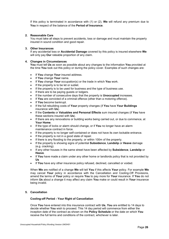If this policy is terminated in accordance with  $(1)$  or  $(2)$ , We will refund any premium due to You in respect of the balance of the Period of Insurance.

#### 2. Reasonable Care

You must take all steps to prevent accidents, loss or damage and must maintain the property insured in sound condition and good repair.

#### 3. Other Insurances

If any accidental loss or Accidental Damage covered by this policy is insured elsewhere We will only pay **Our** rateable proportion of any claim.

#### 4. Changes in Circumstances

You must tell Us as soon as possible about any changes to the information You provided at the time You took out this policy or during the policy cover. Examples of such changes are:

- If You change Your insured address.
- If You change Your name.
- If You change Your occupation(s) or the trade in which You work.
- If the property is to be let or sublet.
- If the property is to be used for business and the type of business use.
- If there are to be paying guests or lodgers.
- If the number of consecutive days that the property is **Unoccupied** increases.
- If You are convicted of a criminal offence (other than a motoring offence).
- If You become bankrupt.
- If the full rebuilding costs of Your property changes (if You have Your Buildings insurance with Us).
- If the Contents or Valuables and Personal Effects sum insured changes (if You have these sections insured with Us).
- If there are any renovations or building works being carried out, or due to commence, at Your Home.
- If the type of locks or alarm should change, or if You no longer have an alarm maintenance contract in force.
- If the property is no longer self-contained or does not have its own lockable entrance.
- If the property is not in a good state of repair.
- If there is any flooding to the property, or within 100m of the property.
- If the property is showing signs of potential Subsidence, Landslip or Heave damage (e.g. cracking).
- If any other houses in the same street have been affected by Subsidence, Landslip or Heave.
- If You have made a claim under any other home or landlords policy that is not provided by Us
- If You have any other insurance policy refused, declined, cancelled or voided.

When We are notified of a change We will tell You if this affects Your policy. For example We may cancel Your policy in accordance with the Cancellation and Cooling-Off Provisions, amend the terms of Your policy or require You to pay more for Your insurance. If You do not inform Us about a change it may affect any claim You make or could result in Your insurance being invalid.

#### 5. Cancellation

#### Cooling-off Period - Your Right of Cancellation

Once You have entered into this insurance contract with Us, You are entitled to 14 days to decide whether You wish to proceed. This 14 day period will commence from either the inception date of the contract as shown on the Policy Schedule or the date on which You receive the full terms and conditions of the contract, whichever is later.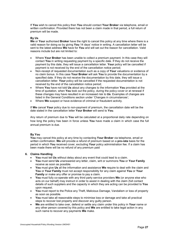If You wish to cancel this policy then You should contact Your Broker via telephone, email or written confirmation. Provided there has not been a claim made in that period, a full return of premium will be made.

#### By Us

We or Your authorised Broker have the right to cancel this policy at any time where there is a valid reason for doing so by giving You 14 days' notice in writing. A cancellation letter will be sent to the latest address We have for You and will set out the reason for cancellation. Valid reasons include but are not limited to:

- Where Your Broker has been unable to collect a premium payment. In this case they will contact You in writing requesting payment by a specific date. If they do not receive the payment by this date, they will issue a cancellation letter. Your policy will be cancelled if payment is not received by the end of the cancellation notice period;
- Non-receipt of requested documentation such as a copy of Your valuations or evidence of no claim bonus. In this case Your Broker will ask You to provide the documentation by a specified date. If they do not receive the documentation by this date, they will issue a cancellation letter. Your policy will be cancelled if the requested documentation is not received by the end of the cancellation notice period;
- Where You have not told Us about any changes to the information You provided at the time of quotation, when You took out the policy, during the policy cover or at renewal if these changes may have resulted in an increased risk to Us. Examples of changes are listed in the General Conditions section under 'Changes in circumstances';
- Where We suspect or have evidence of criminal or fraudulent activity.

If We cancel Your policy due to non-payment of premium, the cancellation date will be the date stated in the cancellation letter Your Broker will send to You.

Any return of premium due to You will be calculated at a proportional daily rate depending on how long the policy has been in force unless You have made a claim in which case the full annual premium is due.

#### By You

You may cancel this policy at any time by contacting Your Broker via telephone, email or written confirmation. We will provide a refund of premium based on a pro-rata basis for the period in which You received cover, excluding Your policy administration fee. If a claim has been made there will be no refund of any premium paid

#### 6. Claims Handling

- You must tell Us without delay about any event that could lead to a claim.
- You must send Us unanswered any letter, claim, writ or summons You or Your Family receive as soon as possible.
- You must give Us all the information and assistance We require to deal with the claim and You or Your Family must not accept responsibility for any claim against You or Your Family or make any offer or promise to pay a claim.
- You must fully co-operate with any third party service providers We (or anyone else who acts on our behalf) may instruct in order to assist in dealing with the claim (full contact details of such suppliers and the capacity in which they are acting can be provided to You upon request.
- You must report to the Police any Theft, Malicious Damage, Vandalism or loss of property as soon as possible.
- You must take all reasonable steps to minimise loss or damage and take all practical steps to recover lost property and discover any guilty person.
- We are entitled to take over, defend or settle any claim under this policy in Your name or any other person covered by this policy and We are entitled to take legal action in any such name to recover any payments We make.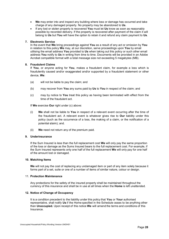- We may enter into and inspect any building where loss or damage has occurred and take charge of any damaged property. No property may be abandoned to Us.
- If any lost or stolen property is recovered You must let Us know as soon as reasonably possible by recorded delivery. If the property is recovered after payment of the claim it will belong to Us but You will have the option to retain it and refund any claim payment to Us.

#### 7. Electronic Service

In the event that We bring proceedings against You as a result of any act or omission by You in relation to this policy We may, at our discretion, serve proceedings upon You by email utilising the email address You provided to Us when taking out this policy or such other email address You notify to Us in writing from time to time. Documents will be provided in an Adobe Acrobat compatible format with a total message size not exceeding 5 megabytes (MB).

#### 8. Fraudulent Claims

If You, or anyone acting for You, makes a fraudulent claim, for example a loss which is fraudulently caused and/or exaggerated and/or supported by a fraudulent statement or other device, We:

- (a) will not be liable to pay the claim; and
- (b) may recover from You any sums paid by Us to You in respect of the claim; and
- (c) may by notice to You treat this policy as having been terminated with effect from the time of the fraudulent act.

If We exercise Our right under (c) above:

- (i) We shall not be liable to You in respect of a relevant event occurring after the time of the fraudulent act. A relevant event is whatever gives rise to Our liability under this policy (such as the occurrence of a loss, the making of a claim, or the notification of a potential claim); and.
- (ii) We need not return any of the premium paid.

#### 9. Underinsurance

If the Sum Insured is less than the full replacement cost We will only pay the same proportion of the loss or damage as the Sums Insured bears to the full replacement cost. For example, if the Sum Insured represents only one half of the full replacement We will only pay for one half of the amount lost or damaged.

#### 10. Matching Items

We will not pay the cost of replacing any undamaged item or part of any item solely because it forms part of a set, suite or one of a number of items of similar nature, colour or design.

#### 11. Protection Maintenance

Any protections for the safety of the insured property shall be maintained throughout the currency of this insurance and shall be in use at all times when the Home is left unattended.

#### 12. Notice of Change of Occupancy

It is a condition precedent to the liability under this policy that You or Your authorised representative, shall notify Us if the Home specified in the Schedule ceases to be anything other than Unoccupied. Upon receipt of this notice We will amend the terms and conditions of this **Insurance**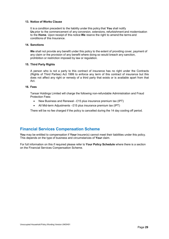#### 13. Notice of Works Clause

It is a condition precedent to the liability under this policy that You shall notify Us prior to the commencement of any conversion, extensions, refurbishment and modernisation to the Home. Upon receipt of this notice We reserve the right to amend the terms and conditions of this Insurance.

#### 14. Sanctions

We shall not provide any benefit under this policy to the extent of providing cover, payment of any claim or the provision of any benefit where doing so would breach any sanction, prohibition or restriction imposed by law or regulation.

#### 15. Third Party Rights

A person who is not a party to this contract of insurance has no right under the Contracts (Rights of Third Parties) Act 1999 to enforce any term of this contract of insurance but this does not affect any right or remedy of a third party that exists or is available apart from that Act.

#### 16. Fees

Tansar Holdings Limited will charge the following non-refundable Administration and Fraud Protection Fees:

- New Business and Renewal £15 plus insurance premium tax (IPT)
- All Mid-term Adjustments £15 plus insurance premium tax (IPT)

There will be no fee charged if the policy is cancelled during the 14 day cooling off period.

# Financial Services Compensation Scheme

You may be entitled to compensation if Your Insurer(s) cannot meet their liabilities under this policy. This depends on the type of business and circumstances of Your claim.

For full information on this if required please refer to Your Policy Schedule where there is a section on the Financial Services Compensation Scheme.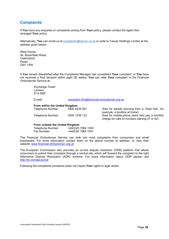# **Complaints**

If You have any enquiries or complaints arising from Your policy, please contact the agent that arranged Your policy.

Alternatively, You can email us at complaints@tansar.co.uk or write to Tansar Holdings Limited at the address given below:

West House, 34, Broomfield Road, Chelmsford, Essex. CM1 1SW

If You remain dissatisfied after the Complaints Manager has considered Your complaint, or You have not received a final decision within eight (8) weeks, You can refer Your complaint to the Financial Ombudsman Service at:

> Exchange Tower London E14 9SR

E-mail: complaint.info@financial-ombudsman.org.uk

#### From within the United Kingdom

Telephone Number: 0800 0234 567 (free for people phoning from a "fixed line", for example, a landline at home) Telephone Number: 0300 1239 123 (free for mobile-phone users who pay a monthly charge for calls to numbers starting 01 or 02)

#### From outside the United Kingdom

| Telephone Number: | +44(0)20 7964 1000 |
|-------------------|--------------------|
| Fax Number:       | +44(0)20 7964 1001 |

The Financial Ombudsman Service can look into most complaints from consumers and small businesses. For more information contact them on the above number or address, or view their website: www.financial-ombudsman.org.uk

The European Commission also provides an on-line dispute resolution (ODR) platform that allows consumers to submit their complaint through a central site, which will forward the complaint to the right Alternative Dispute Resolution (ADR) scheme. For more information about ODR please visit http://ec.europa.eu/odr

Following the complaints procedure does not impact Your rights to legal action.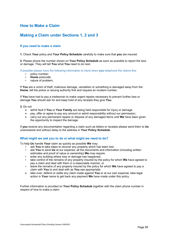# How to Make a Claim

# Making a Claim under Sections 1, 2 and 3

### If you need to make a claim

1. Check Your policy and Your Policy Schedule carefully to make sure that you are insured.

2. Please phone the number shown on Your Policy Schedule as soon as possible to report the loss or damage. They will tell You what You need to do next.

If possible please have the following information to hand when you telephone the claims line:

- policy number;<br>• Home postcode
- **Home** postcode;<br>• nature of problem
- nature of problem;

If You are a victim of theft, malicious damage, vandalism or something is damaged away from the Home, tell the police or issuing authority first and request an incident number.

If You have had to pay a tradesman to make urgent repairs necessary to prevent further loss or damage You should ask for and keep hold of any receipts they give You.

3. Do not

- admit fault if You or Your Family are being held responsible for injury or damage.
- pay, offer or agree to pay any amount or admit responsibility without our permission;
- carry out any permanent repairs or dispose of any damaged items until We have been given the opportunity to inspect the damage.

If you receive any documentation regarding a claim such as letters or receipts please send them to Us unanswered and without delay to the address in Your Policy Schedule.

#### What might we ask you to do or what might we need to do?

To help Us handle Your claim as quickly as possible We may:

- ask You to take steps to recover any property which has been lost;
- ask You to send Us at our expense, all the documents and information (including written estimates and proof of value or ownership) We may require.
- enter any building where loss or damage has happened;
- take control of the remains of any property insured by the policy for which We have agreed to pay a claim and deal with them in a reasonable manner; or
- leave the remains of any property insured by the policy for which We have agreed to pay a claim with You to and deal with as You see appropriate;
- take over, defend or settle any claim made against You or at our own expense, take legal action in Your name to get back any payment We have made under this policy.

Further information is provided on Your Policy Schedule together with the claim phone number in respect of how to make a claim.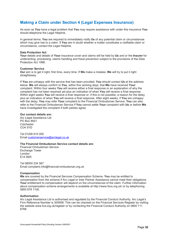# Making a Claim under Section 4 (Legal Expenses Insurance)

As soon as You have a legal problem that You may require assistance with under this insurance You should telephone the Legal Helpline.

In general terms, You are required to immediately notify Us of any potential claim or circumstances which may give rise to a claim. If **You** are in doubt whether a matter constitutes a notifiable claim or circumstance, contact the Legal Helpline.

#### Data Protection Act

Your details and details of Your insurance cover and claims will be held by Us and or the Insurer for underwriting, processing, claims handling and fraud prevention subject to the provisions of the Data Protection Act 1998.

#### Customer Service

Our aim is to get it right, first time, every time. If We make a mistake, We will try to put it right straightaway.

If You are unhappy with the service that has been provided, You should contact Us at the address below. We will always confirm to You, within five working days, that We have received Your complaint. Within four weeks You will receive either a final response or an explanation of why the complaint has not been resolved yet plus an indication of when You will receive a final response. Within eight weeks You will receive a final response or, if this is not possible, a reason for the delay plus an indication of when You will receive a final response. After eight weeks, if You are unhappy with the delay, You may refer Your complaint to the Financial Ombudsman Service. You can also refer to the Financial Ombudsman Service if You cannot settle Your complaint with Us or before We have investigated the complaint if both parties agree.

#### Our contact details are:

Arc Legal Assistance Ltd PO Box 8921 **Colchester** CO4 5YD

Tel 01206 615 000 Email customerservice@arclegal.co.uk

#### The Financial Ombudsman Service contact details are:

Financial Ombudsman Service Exchange Tower London E14 9SR

Tel 08000 234 567 Email complaint.info@financial-ombudsman.org.uk

#### Compensation

We are covered by the Financial Services Compensation Scheme. You may be entitled to compensation from the scheme if Arc Legal or Inter Partner Assistance cannot meet their obligations. Your entitlement to compensation will depend on the circumstances of the claim. Further information about compensation scheme arrangements is available at http://www.fscs.org.uk/ or by telephoning 0800 678 1100.

#### Authorisation

Arc Legal Assistance Ltd is authorised and regulated by the Financial Conduct Authority. Arc Legal's Firm Reference Number is 305958. This can be checked on the Financial Services Register by visiting the website www.fca.org.uk/register or by contacting the Financial Conduct Authority on 0800 111 6768.